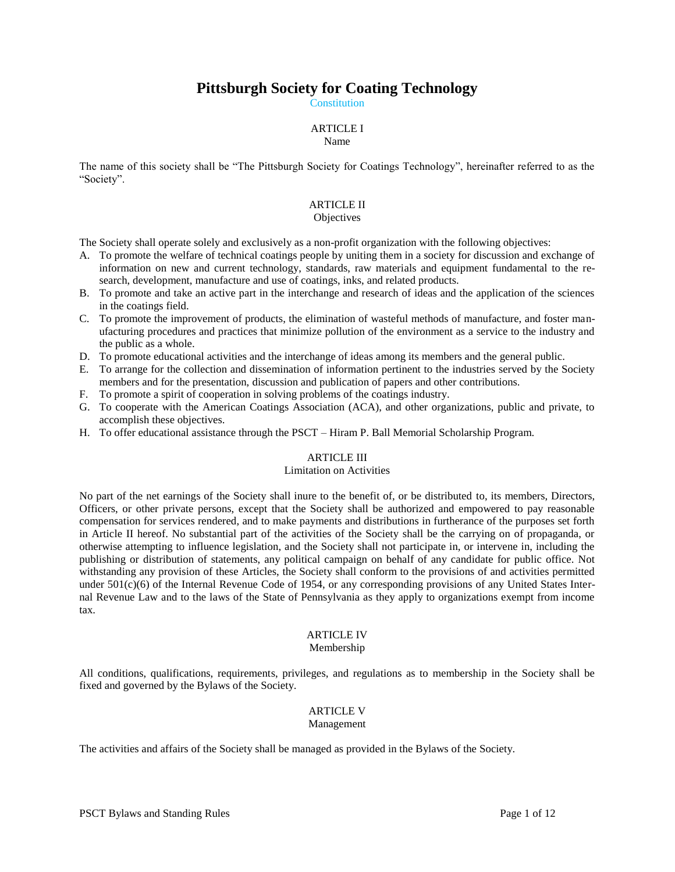# **Pittsburgh Society for Coating Technology**

**Constitution** 

## ARTICLE I

#### Name

The name of this society shall be "The Pittsburgh Society for Coatings Technology", hereinafter referred to as the "Society".

## ARTICLE II

#### **Objectives**

The Society shall operate solely and exclusively as a non-profit organization with the following objectives:

- A. To promote the welfare of technical coatings people by uniting them in a society for discussion and exchange of information on new and current technology, standards, raw materials and equipment fundamental to the research, development, manufacture and use of coatings, inks, and related products.
- B. To promote and take an active part in the interchange and research of ideas and the application of the sciences in the coatings field.
- C. To promote the improvement of products, the elimination of wasteful methods of manufacture, and foster manufacturing procedures and practices that minimize pollution of the environment as a service to the industry and the public as a whole.
- D. To promote educational activities and the interchange of ideas among its members and the general public.
- E. To arrange for the collection and dissemination of information pertinent to the industries served by the Society members and for the presentation, discussion and publication of papers and other contributions.
- F. To promote a spirit of cooperation in solving problems of the coatings industry.
- G. To cooperate with the American Coatings Association (ACA), and other organizations, public and private, to accomplish these objectives.
- H. To offer educational assistance through the PSCT Hiram P. Ball Memorial Scholarship Program.

#### ARTICLE III

#### Limitation on Activities

No part of the net earnings of the Society shall inure to the benefit of, or be distributed to, its members, Directors, Officers, or other private persons, except that the Society shall be authorized and empowered to pay reasonable compensation for services rendered, and to make payments and distributions in furtherance of the purposes set forth in Article II hereof. No substantial part of the activities of the Society shall be the carrying on of propaganda, or otherwise attempting to influence legislation, and the Society shall not participate in, or intervene in, including the publishing or distribution of statements, any political campaign on behalf of any candidate for public office. Not withstanding any provision of these Articles, the Society shall conform to the provisions of and activities permitted under  $501(c)(6)$  of the Internal Revenue Code of 1954, or any corresponding provisions of any United States Internal Revenue Law and to the laws of the State of Pennsylvania as they apply to organizations exempt from income tax.

## ARTICLE IV

## Membership

All conditions, qualifications, requirements, privileges, and regulations as to membership in the Society shall be fixed and governed by the Bylaws of the Society.

# ARTICLE V

#### Management

The activities and affairs of the Society shall be managed as provided in the Bylaws of the Society.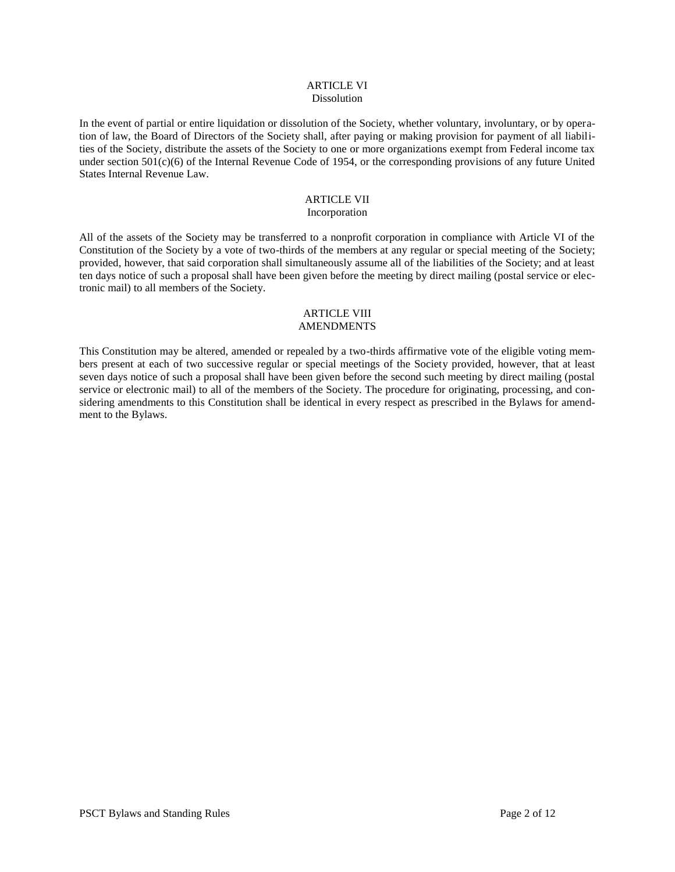#### ARTICLE VI **Dissolution**

In the event of partial or entire liquidation or dissolution of the Society, whether voluntary, involuntary, or by operation of law, the Board of Directors of the Society shall, after paying or making provision for payment of all liabilities of the Society, distribute the assets of the Society to one or more organizations exempt from Federal income tax under section  $501(c)(6)$  of the Internal Revenue Code of 1954, or the corresponding provisions of any future United States Internal Revenue Law.

# ARTICLE VII

## Incorporation

All of the assets of the Society may be transferred to a nonprofit corporation in compliance with Article VI of the Constitution of the Society by a vote of two-thirds of the members at any regular or special meeting of the Society; provided, however, that said corporation shall simultaneously assume all of the liabilities of the Society; and at least ten days notice of such a proposal shall have been given before the meeting by direct mailing (postal service or electronic mail) to all members of the Society.

#### ARTICLE VIII AMENDMENTS

This Constitution may be altered, amended or repealed by a two-thirds affirmative vote of the eligible voting members present at each of two successive regular or special meetings of the Society provided, however, that at least seven days notice of such a proposal shall have been given before the second such meeting by direct mailing (postal service or electronic mail) to all of the members of the Society. The procedure for originating, processing, and considering amendments to this Constitution shall be identical in every respect as prescribed in the Bylaws for amendment to the Bylaws.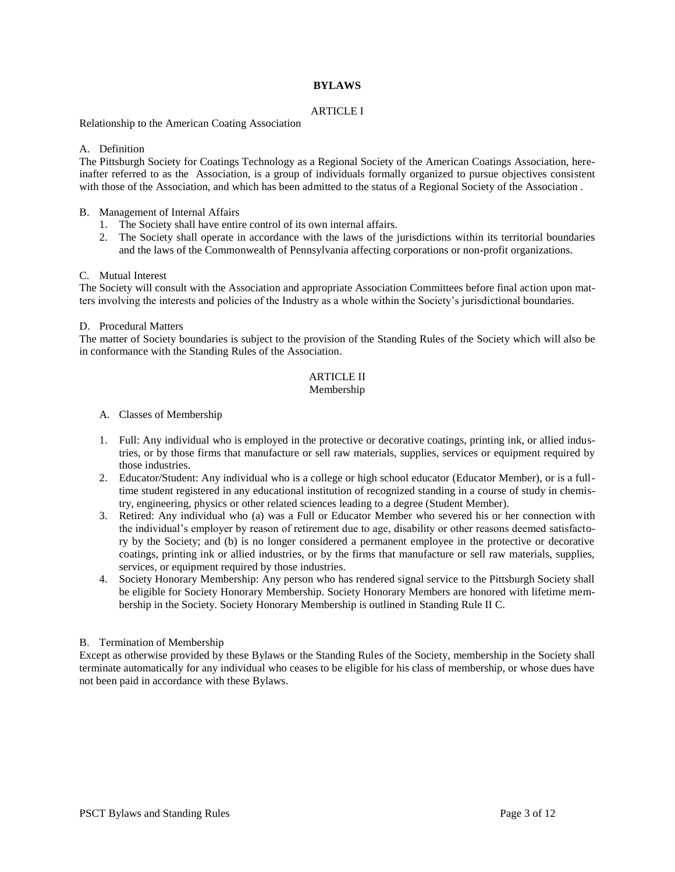## **BYLAWS**

## ARTICLE I

Relationship to the American Coating Association

## A. Definition

The Pittsburgh Society for Coatings Technology as a Regional Society of the American Coatings Association, hereinafter referred to as the Association, is a group of individuals formally organized to pursue objectives consistent with those of the Association, and which has been admitted to the status of a Regional Society of the Association .

## B. Management of Internal Affairs

- 1. The Society shall have entire control of its own internal affairs.
- 2. The Society shall operate in accordance with the laws of the jurisdictions within its territorial boundaries and the laws of the Commonwealth of Pennsylvania affecting corporations or non-profit organizations.

## C. Mutual Interest

The Society will consult with the Association and appropriate Association Committees before final action upon matters involving the interests and policies of the Industry as a whole within the Society's jurisdictional boundaries.

#### D. Procedural Matters

The matter of Society boundaries is subject to the provision of the Standing Rules of the Society which will also be in conformance with the Standing Rules of the Association.

## ARTICLE II

#### Membership

- A. Classes of Membership
- 1. Full: Any individual who is employed in the protective or decorative coatings, printing ink, or allied industries, or by those firms that manufacture or sell raw materials, supplies, services or equipment required by those industries.
- 2. Educator/Student: Any individual who is a college or high school educator (Educator Member), or is a fulltime student registered in any educational institution of recognized standing in a course of study in chemistry, engineering, physics or other related sciences leading to a degree (Student Member).
- 3. Retired: Any individual who (a) was a Full or Educator Member who severed his or her connection with the individual's employer by reason of retirement due to age, disability or other reasons deemed satisfactory by the Society; and (b) is no longer considered a permanent employee in the protective or decorative coatings, printing ink or allied industries, or by the firms that manufacture or sell raw materials, supplies, services, or equipment required by those industries.
- 4. Society Honorary Membership: Any person who has rendered signal service to the Pittsburgh Society shall be eligible for Society Honorary Membership. Society Honorary Members are honored with lifetime membership in the Society. Society Honorary Membership is outlined in Standing Rule II C.

#### B. Termination of Membership

Except as otherwise provided by these Bylaws or the Standing Rules of the Society, membership in the Society shall terminate automatically for any individual who ceases to be eligible for his class of membership, or whose dues have not been paid in accordance with these Bylaws.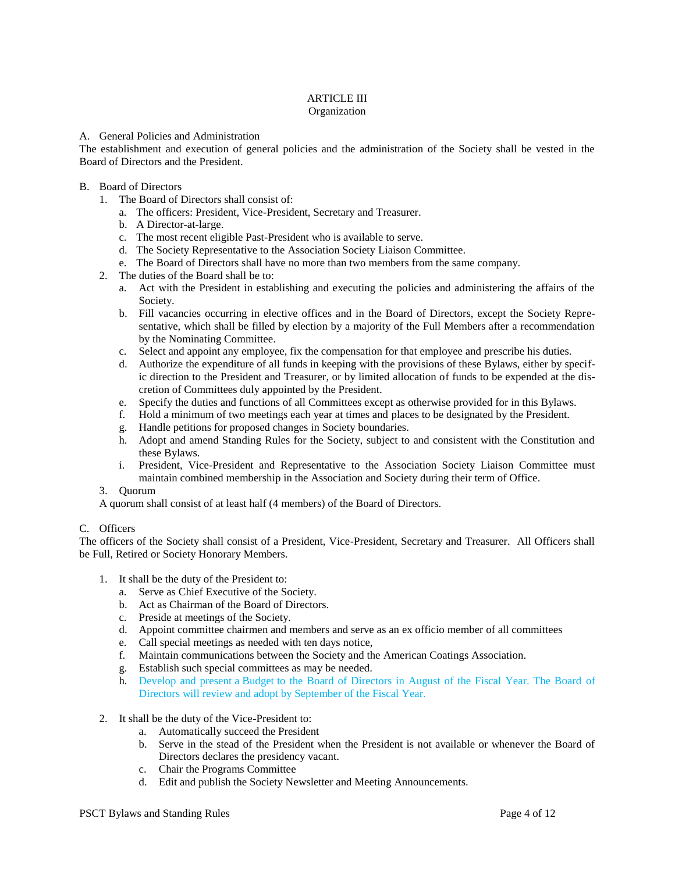## ARTICLE III Organization

## A. General Policies and Administration

The establishment and execution of general policies and the administration of the Society shall be vested in the Board of Directors and the President.

## B. Board of Directors

- 1. The Board of Directors shall consist of:
	- a. The officers: President, Vice-President, Secretary and Treasurer.
	- b. A Director-at-large.
	- c. The most recent eligible Past-President who is available to serve.
	- d. The Society Representative to the Association Society Liaison Committee.
	- e. The Board of Directors shall have no more than two members from the same company.
- 2. The duties of the Board shall be to:
	- a. Act with the President in establishing and executing the policies and administering the affairs of the Society.
	- b. Fill vacancies occurring in elective offices and in the Board of Directors, except the Society Representative, which shall be filled by election by a majority of the Full Members after a recommendation by the Nominating Committee.
	- c. Select and appoint any employee, fix the compensation for that employee and prescribe his duties.
	- d. Authorize the expenditure of all funds in keeping with the provisions of these Bylaws, either by specific direction to the President and Treasurer, or by limited allocation of funds to be expended at the discretion of Committees duly appointed by the President.
	- e. Specify the duties and functions of all Committees except as otherwise provided for in this Bylaws.
	- f. Hold a minimum of two meetings each year at times and places to be designated by the President.
	- g. Handle petitions for proposed changes in Society boundaries.
	- h. Adopt and amend Standing Rules for the Society, subject to and consistent with the Constitution and these Bylaws.
	- i. President, Vice-President and Representative to the Association Society Liaison Committee must maintain combined membership in the Association and Society during their term of Office.

#### 3. Quorum

A quorum shall consist of at least half (4 members) of the Board of Directors.

## C. Officers

The officers of the Society shall consist of a President, Vice-President, Secretary and Treasurer. All Officers shall be Full, Retired or Society Honorary Members.

- 1. It shall be the duty of the President to:
	- a. Serve as Chief Executive of the Society.
	- b. Act as Chairman of the Board of Directors.
	- c. Preside at meetings of the Society.
	- d. Appoint committee chairmen and members and serve as an ex officio member of all committees
	- e. Call special meetings as needed with ten days notice,
	- f. Maintain communications between the Society and the American Coatings Association.
	- g. Establish such special committees as may be needed.
	- h. Develop and present a Budget to the Board of Directors in August of the Fiscal Year. The Board of Directors will review and adopt by September of the Fiscal Year.
- 2. It shall be the duty of the Vice-President to:
	- a. Automatically succeed the President
	- b. Serve in the stead of the President when the President is not available or whenever the Board of Directors declares the presidency vacant.
	- c. Chair the Programs Committee
	- d. Edit and publish the Society Newsletter and Meeting Announcements.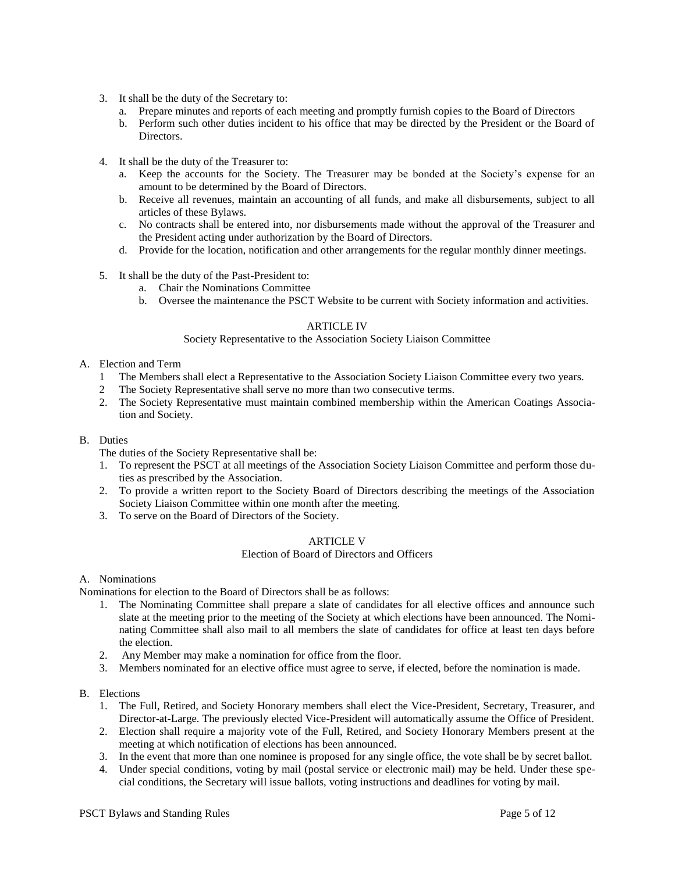- 3. It shall be the duty of the Secretary to:
	- a. Prepare minutes and reports of each meeting and promptly furnish copies to the Board of Directors
	- b. Perform such other duties incident to his office that may be directed by the President or the Board of **Directors**
- 4. It shall be the duty of the Treasurer to:
	- a. Keep the accounts for the Society. The Treasurer may be bonded at the Society's expense for an amount to be determined by the Board of Directors.
	- b. Receive all revenues, maintain an accounting of all funds, and make all disbursements, subject to all articles of these Bylaws.
	- c. No contracts shall be entered into, nor disbursements made without the approval of the Treasurer and the President acting under authorization by the Board of Directors.
	- d. Provide for the location, notification and other arrangements for the regular monthly dinner meetings.
- 5. It shall be the duty of the Past-President to:
	- a. Chair the Nominations Committee
	- b. Oversee the maintenance the PSCT Website to be current with Society information and activities.

#### ARTICLE IV

#### Society Representative to the Association Society Liaison Committee

- A. Election and Term
	- 1 The Members shall elect a Representative to the Association Society Liaison Committee every two years.
	- 2 The Society Representative shall serve no more than two consecutive terms.
	- 2. The Society Representative must maintain combined membership within the American Coatings Association and Society.
- B. Duties

The duties of the Society Representative shall be:

- 1. To represent the PSCT at all meetings of the Association Society Liaison Committee and perform those duties as prescribed by the Association.
- 2. To provide a written report to the Society Board of Directors describing the meetings of the Association Society Liaison Committee within one month after the meeting.
- 3. To serve on the Board of Directors of the Society.

#### ARTICLE V

#### Election of Board of Directors and Officers

#### A. Nominations

Nominations for election to the Board of Directors shall be as follows:

- 1. The Nominating Committee shall prepare a slate of candidates for all elective offices and announce such slate at the meeting prior to the meeting of the Society at which elections have been announced. The Nominating Committee shall also mail to all members the slate of candidates for office at least ten days before the election.
- 2. Any Member may make a nomination for office from the floor.
- 3. Members nominated for an elective office must agree to serve, if elected, before the nomination is made.
- B. Elections
	- 1. The Full, Retired, and Society Honorary members shall elect the Vice-President, Secretary, Treasurer, and Director-at-Large. The previously elected Vice-President will automatically assume the Office of President.
	- 2. Election shall require a majority vote of the Full, Retired, and Society Honorary Members present at the meeting at which notification of elections has been announced.
	- 3. In the event that more than one nominee is proposed for any single office, the vote shall be by secret ballot.
	- 4. Under special conditions, voting by mail (postal service or electronic mail) may be held. Under these special conditions, the Secretary will issue ballots, voting instructions and deadlines for voting by mail.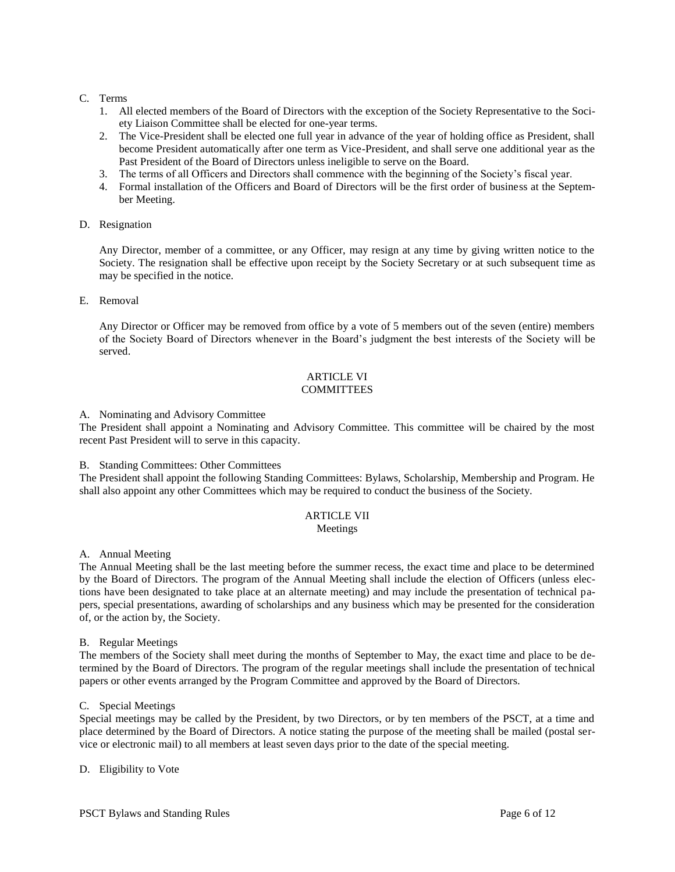## C. Terms

- 1. All elected members of the Board of Directors with the exception of the Society Representative to the Society Liaison Committee shall be elected for one-year terms.
- 2. The Vice-President shall be elected one full year in advance of the year of holding office as President, shall become President automatically after one term as Vice-President, and shall serve one additional year as the Past President of the Board of Directors unless ineligible to serve on the Board.
- 3. The terms of all Officers and Directors shall commence with the beginning of the Society's fiscal year.
- 4. Formal installation of the Officers and Board of Directors will be the first order of business at the September Meeting.
- D. Resignation

Any Director, member of a committee, or any Officer, may resign at any time by giving written notice to the Society. The resignation shall be effective upon receipt by the Society Secretary or at such subsequent time as may be specified in the notice.

E. Removal

Any Director or Officer may be removed from office by a vote of 5 members out of the seven (entire) members of the Society Board of Directors whenever in the Board's judgment the best interests of the Society will be served.

## ARTICLE VI **COMMITTEES**

#### A. Nominating and Advisory Committee

The President shall appoint a Nominating and Advisory Committee. This committee will be chaired by the most recent Past President will to serve in this capacity.

B. Standing Committees: Other Committees

The President shall appoint the following Standing Committees: Bylaws, Scholarship, Membership and Program. He shall also appoint any other Committees which may be required to conduct the business of the Society.

## ARTICLE VII

#### Meetings

A. Annual Meeting

The Annual Meeting shall be the last meeting before the summer recess, the exact time and place to be determined by the Board of Directors. The program of the Annual Meeting shall include the election of Officers (unless elections have been designated to take place at an alternate meeting) and may include the presentation of technical papers, special presentations, awarding of scholarships and any business which may be presented for the consideration of, or the action by, the Society.

B. Regular Meetings

The members of the Society shall meet during the months of September to May, the exact time and place to be determined by the Board of Directors. The program of the regular meetings shall include the presentation of technical papers or other events arranged by the Program Committee and approved by the Board of Directors.

C. Special Meetings

Special meetings may be called by the President, by two Directors, or by ten members of the PSCT, at a time and place determined by the Board of Directors. A notice stating the purpose of the meeting shall be mailed (postal service or electronic mail) to all members at least seven days prior to the date of the special meeting.

D. Eligibility to Vote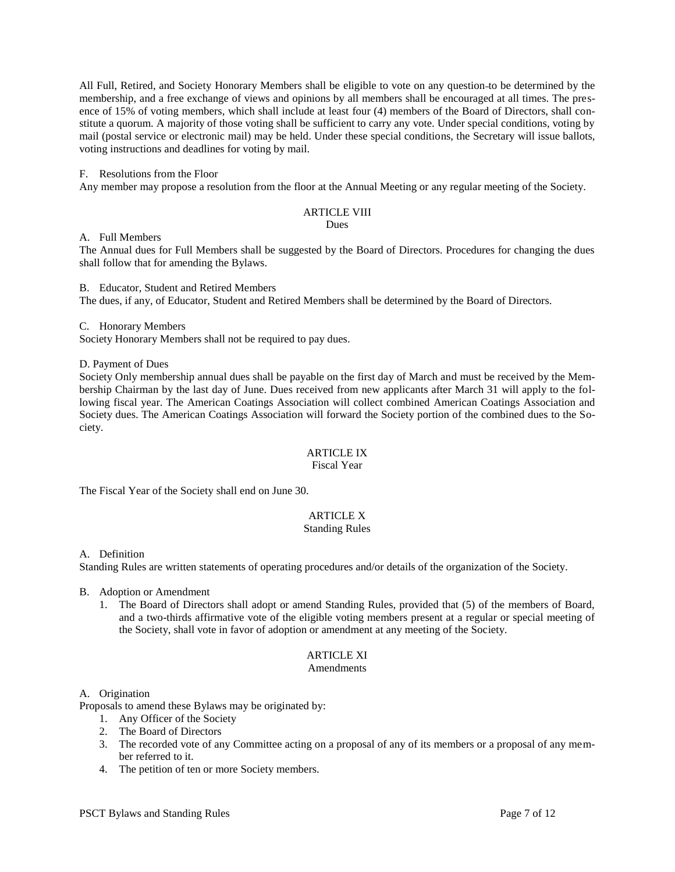All Full, Retired, and Society Honorary Members shall be eligible to vote on any question to be determined by the membership, and a free exchange of views and opinions by all members shall be encouraged at all times. The presence of 15% of voting members, which shall include at least four (4) members of the Board of Directors, shall constitute a quorum. A majority of those voting shall be sufficient to carry any vote. Under special conditions, voting by mail (postal service or electronic mail) may be held. Under these special conditions, the Secretary will issue ballots, voting instructions and deadlines for voting by mail.

#### F. Resolutions from the Floor

Any member may propose a resolution from the floor at the Annual Meeting or any regular meeting of the Society.

## ARTICLE VIII

Dues

A. Full Members

The Annual dues for Full Members shall be suggested by the Board of Directors. Procedures for changing the dues shall follow that for amending the Bylaws.

B. Educator, Student and Retired Members The dues, if any, of Educator, Student and Retired Members shall be determined by the Board of Directors.

C. Honorary Members

Society Honorary Members shall not be required to pay dues.

D. Payment of Dues

Society Only membership annual dues shall be payable on the first day of March and must be received by the Membership Chairman by the last day of June. Dues received from new applicants after March 31 will apply to the following fiscal year. The American Coatings Association will collect combined American Coatings Association and Society dues. The American Coatings Association will forward the Society portion of the combined dues to the Society.

## ARTICLE IX

#### Fiscal Year

The Fiscal Year of the Society shall end on June 30.

## ARTICLE X

#### Standing Rules

A. Definition

Standing Rules are written statements of operating procedures and/or details of the organization of the Society.

- B. Adoption or Amendment
	- 1. The Board of Directors shall adopt or amend Standing Rules, provided that (5) of the members of Board, and a two-thirds affirmative vote of the eligible voting members present at a regular or special meeting of the Society, shall vote in favor of adoption or amendment at any meeting of the Society.

# ARTICLE XI

## Amendments

#### A. Origination

Proposals to amend these Bylaws may be originated by:

- 1. Any Officer of the Society
- 2. The Board of Directors
- 3. The recorded vote of any Committee acting on a proposal of any of its members or a proposal of any member referred to it.
- 4. The petition of ten or more Society members.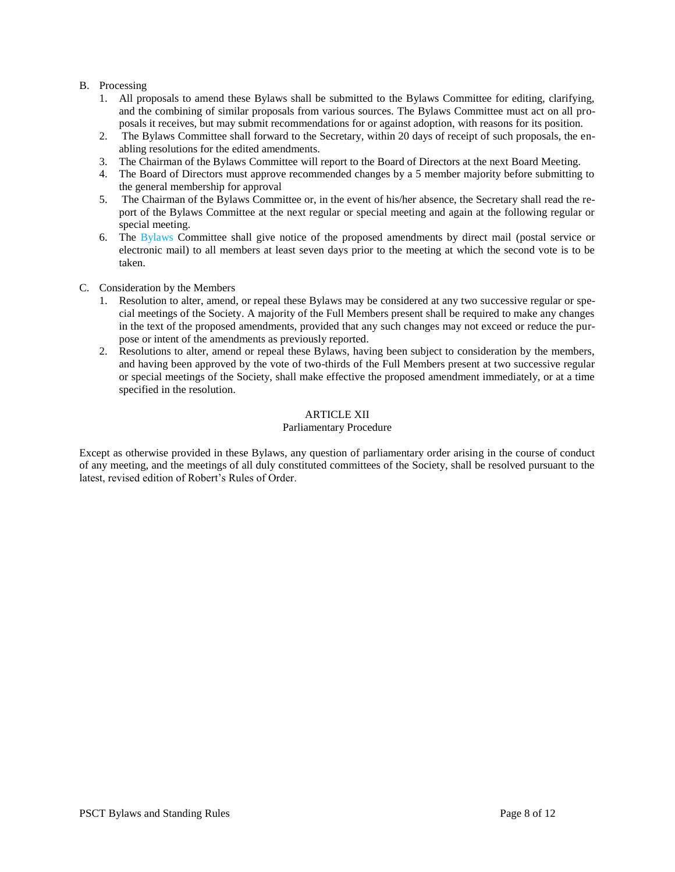## B. Processing

- 1. All proposals to amend these Bylaws shall be submitted to the Bylaws Committee for editing, clarifying, and the combining of similar proposals from various sources. The Bylaws Committee must act on all proposals it receives, but may submit recommendations for or against adoption, with reasons for its position.
- 2. The Bylaws Committee shall forward to the Secretary, within 20 days of receipt of such proposals, the enabling resolutions for the edited amendments.
- 3. The Chairman of the Bylaws Committee will report to the Board of Directors at the next Board Meeting.
- 4. The Board of Directors must approve recommended changes by a 5 member majority before submitting to the general membership for approval
- 5. The Chairman of the Bylaws Committee or, in the event of his/her absence, the Secretary shall read the report of the Bylaws Committee at the next regular or special meeting and again at the following regular or special meeting.
- 6. The Bylaws Committee shall give notice of the proposed amendments by direct mail (postal service or electronic mail) to all members at least seven days prior to the meeting at which the second vote is to be taken.
- C. Consideration by the Members
	- 1. Resolution to alter, amend, or repeal these Bylaws may be considered at any two successive regular or special meetings of the Society. A majority of the Full Members present shall be required to make any changes in the text of the proposed amendments, provided that any such changes may not exceed or reduce the purpose or intent of the amendments as previously reported.
	- 2. Resolutions to alter, amend or repeal these Bylaws, having been subject to consideration by the members, and having been approved by the vote of two-thirds of the Full Members present at two successive regular or special meetings of the Society, shall make effective the proposed amendment immediately, or at a time specified in the resolution.

## ARTICLE XII

## Parliamentary Procedure

Except as otherwise provided in these Bylaws, any question of parliamentary order arising in the course of conduct of any meeting, and the meetings of all duly constituted committees of the Society, shall be resolved pursuant to the latest, revised edition of Robert's Rules of Order.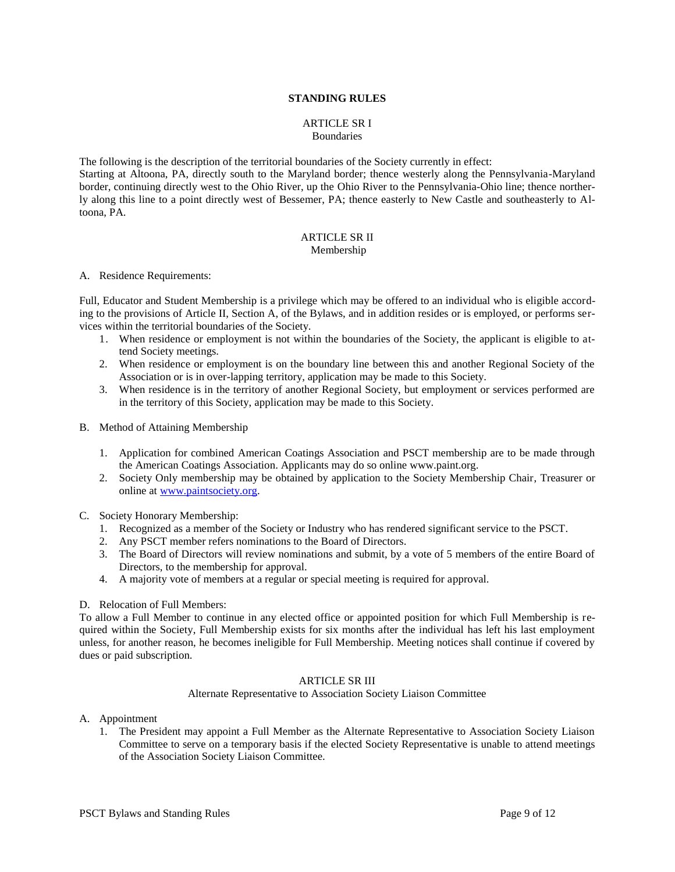#### **STANDING RULES**

#### ARTICLE SR I **Boundaries**

The following is the description of the territorial boundaries of the Society currently in effect: Starting at Altoona, PA, directly south to the Maryland border; thence westerly along the Pennsylvania-Maryland border, continuing directly west to the Ohio River, up the Ohio River to the Pennsylvania-Ohio line; thence northerly along this line to a point directly west of Bessemer, PA; thence easterly to New Castle and southeasterly to Altoona, PA.

#### ARTICLE SR II Membership

#### A. Residence Requirements:

Full, Educator and Student Membership is a privilege which may be offered to an individual who is eligible according to the provisions of Article II, Section A, of the Bylaws, and in addition resides or is employed, or performs services within the territorial boundaries of the Society.

- 1. When residence or employment is not within the boundaries of the Society, the applicant is eligible to attend Society meetings.
- 2. When residence or employment is on the boundary line between this and another Regional Society of the Association or is in over-lapping territory, application may be made to this Society.
- 3. When residence is in the territory of another Regional Society, but employment or services performed are in the territory of this Society, application may be made to this Society.
- B. Method of Attaining Membership
	- 1. Application for combined American Coatings Association and PSCT membership are to be made through the American Coatings Association. Applicants may do so online www.paint.org.
	- 2. Society Only membership may be obtained by application to the Society Membership Chair, Treasurer or online at [www.paintsociety.org.](http://www.paintsociety.org/)
- C. Society Honorary Membership:
	- 1. Recognized as a member of the Society or Industry who has rendered significant service to the PSCT.
	- 2. Any PSCT member refers nominations to the Board of Directors.
	- 3. The Board of Directors will review nominations and submit, by a vote of 5 members of the entire Board of Directors, to the membership for approval.
	- 4. A majority vote of members at a regular or special meeting is required for approval.

## D. Relocation of Full Members:

To allow a Full Member to continue in any elected office or appointed position for which Full Membership is required within the Society, Full Membership exists for six months after the individual has left his last employment unless, for another reason, he becomes ineligible for Full Membership. Meeting notices shall continue if covered by dues or paid subscription.

## ARTICLE SR III

Alternate Representative to Association Society Liaison Committee

- A. Appointment
	- 1. The President may appoint a Full Member as the Alternate Representative to Association Society Liaison Committee to serve on a temporary basis if the elected Society Representative is unable to attend meetings of the Association Society Liaison Committee.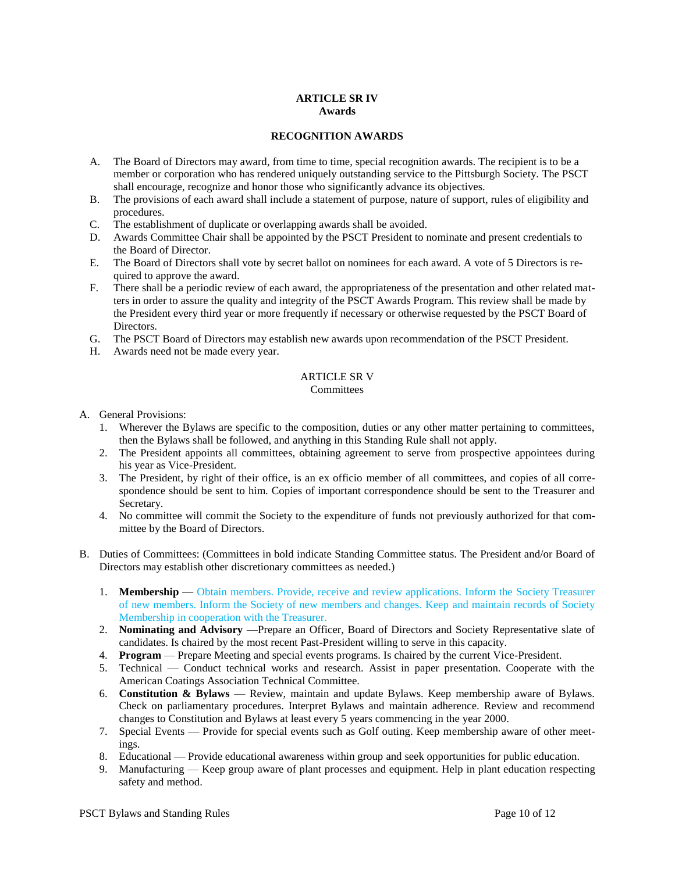#### **ARTICLE SR IV Awards**

## **RECOGNITION AWARDS**

- A. The Board of Directors may award, from time to time, special recognition awards. The recipient is to be a member or corporation who has rendered uniquely outstanding service to the Pittsburgh Society. The PSCT shall encourage, recognize and honor those who significantly advance its objectives.
- B. The provisions of each award shall include a statement of purpose, nature of support, rules of eligibility and procedures.
- C. The establishment of duplicate or overlapping awards shall be avoided.
- D. Awards Committee Chair shall be appointed by the PSCT President to nominate and present credentials to the Board of Director.
- E. The Board of Directors shall vote by secret ballot on nominees for each award. A vote of 5 Directors is required to approve the award.
- F. There shall be a periodic review of each award, the appropriateness of the presentation and other related matters in order to assure the quality and integrity of the PSCT Awards Program. This review shall be made by the President every third year or more frequently if necessary or otherwise requested by the PSCT Board of Directors.
- G. The PSCT Board of Directors may establish new awards upon recommendation of the PSCT President.
- H. Awards need not be made every year.

#### ARTICLE SR V **Committees**

- A. General Provisions:
	- 1. Wherever the Bylaws are specific to the composition, duties or any other matter pertaining to committees, then the Bylaws shall be followed, and anything in this Standing Rule shall not apply.
	- 2. The President appoints all committees, obtaining agreement to serve from prospective appointees during his year as Vice-President.
	- 3. The President, by right of their office, is an ex officio member of all committees, and copies of all correspondence should be sent to him. Copies of important correspondence should be sent to the Treasurer and Secretary.
	- 4. No committee will commit the Society to the expenditure of funds not previously authorized for that committee by the Board of Directors.
- B. Duties of Committees: (Committees in bold indicate Standing Committee status. The President and/or Board of Directors may establish other discretionary committees as needed.)
	- 1. **Membership** Obtain members. Provide, receive and review applications. Inform the Society Treasurer of new members. Inform the Society of new members and changes. Keep and maintain records of Society Membership in cooperation with the Treasurer.
	- 2. **Nominating and Advisory** —Prepare an Officer, Board of Directors and Society Representative slate of candidates. Is chaired by the most recent Past-President willing to serve in this capacity.
	- 4. **Program** Prepare Meeting and special events programs. Is chaired by the current Vice-President.
	- 5. Technical Conduct technical works and research. Assist in paper presentation. Cooperate with the American Coatings Association Technical Committee.
	- 6. **Constitution & Bylaws** Review, maintain and update Bylaws. Keep membership aware of Bylaws. Check on parliamentary procedures. Interpret Bylaws and maintain adherence. Review and recommend changes to Constitution and Bylaws at least every 5 years commencing in the year 2000.
	- 7. Special Events Provide for special events such as Golf outing. Keep membership aware of other meetings.
	- 8. Educational Provide educational awareness within group and seek opportunities for public education.
	- 9. Manufacturing Keep group aware of plant processes and equipment. Help in plant education respecting safety and method.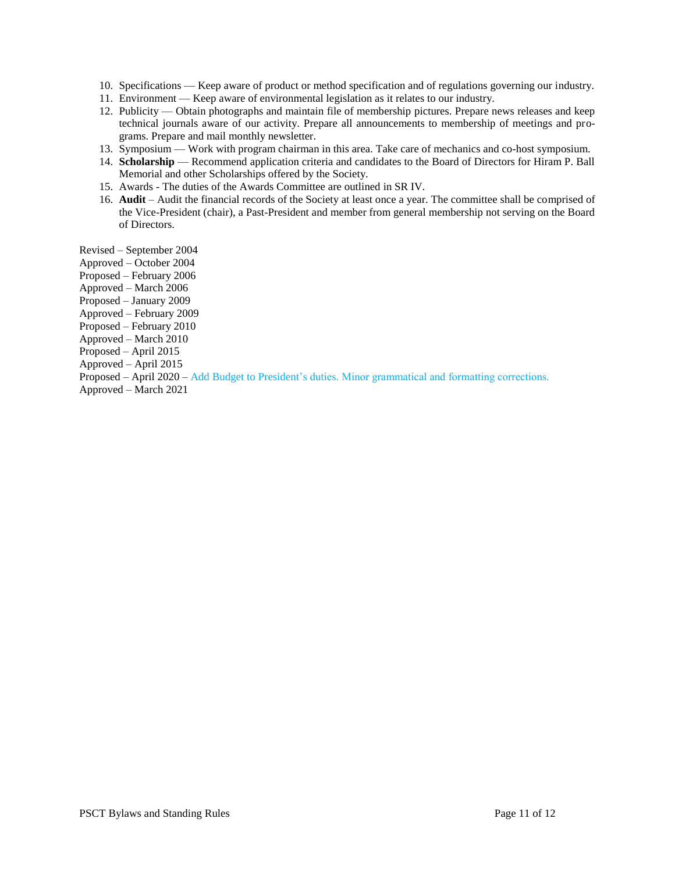- 10. Specifications Keep aware of product or method specification and of regulations governing our industry.
- 11. Environment Keep aware of environmental legislation as it relates to our industry.
- 12. Publicity Obtain photographs and maintain file of membership pictures. Prepare news releases and keep technical journals aware of our activity. Prepare all announcements to membership of meetings and programs. Prepare and mail monthly newsletter.
- 13. Symposium Work with program chairman in this area. Take care of mechanics and co-host symposium.
- 14. **Scholarship** Recommend application criteria and candidates to the Board of Directors for Hiram P. Ball Memorial and other Scholarships offered by the Society.
- 15. Awards The duties of the Awards Committee are outlined in SR IV.
- 16. **Audit**  Audit the financial records of the Society at least once a year. The committee shall be comprised of the Vice-President (chair), a Past-President and member from general membership not serving on the Board of Directors.

Revised – September 2004

- Approved October 2004
- Proposed February 2006
- Approved March 2006
- Proposed January 2009
- Approved February 2009
- Proposed February 2010
- Approved March 2010
- Proposed April 2015
- Approved April 2015
- Proposed April 2020 Add Budget to President's duties. Minor grammatical and formatting corrections.
- Approved March 2021